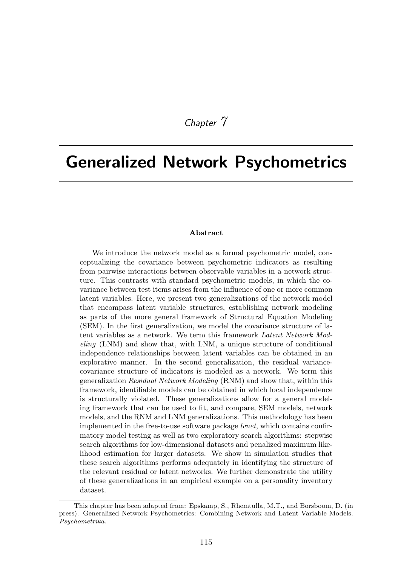*Chapter 7*

# Generalized Network Psychometrics

#### Abstract

We introduce the network model as a formal psychometric model, conceptualizing the covariance between psychometric indicators as resulting from pairwise interactions between observable variables in a network structure. This contrasts with standard psychometric models, in which the covariance between test items arises from the influence of one or more common latent variables. Here, we present two generalizations of the network model that encompass latent variable structures, establishing network modeling as parts of the more general framework of Structural Equation Modeling (SEM). In the first generalization, we model the covariance structure of latent variables as a network. We term this framework *Latent Network Modeling* (LNM) and show that, with LNM, a unique structure of conditional independence relationships between latent variables can be obtained in an explorative manner. In the second generalization, the residual variancecovariance structure of indicators is modeled as a network. We term this generalization *Residual Network Modeling* (RNM) and show that, within this framework, identifiable models can be obtained in which local independence is structurally violated. These generalizations allow for a general modeling framework that can be used to fit, and compare, SEM models, network models, and the RNM and LNM generalizations. This methodology has been implemented in the free-to-use software package *lvnet*, which contains confirmatory model testing as well as two exploratory search algorithms: stepwise search algorithms for low-dimensional datasets and penalized maximum likelihood estimation for larger datasets. We show in simulation studies that these search algorithms performs adequately in identifying the structure of the relevant residual or latent networks. We further demonstrate the utility of these generalizations in an empirical example on a personality inventory dataset.

This chapter has been adapted from: Epskamp, S., Rhemtulla, M.T., and Borsboom, D. (in press). Generalized Network Psychometrics: Combining Network and Latent Variable Models. *Psychometrika*.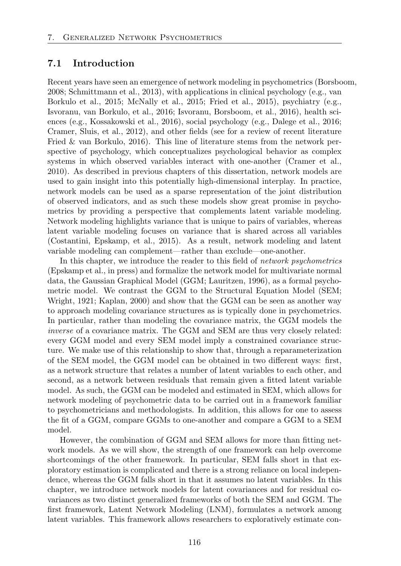# 7.1 Introduction

Recent years have seen an emergence of network modeling in psychometrics (Borsboom, 2008; Schmittmann et al., 2013), with applications in clinical psychology (e.g., van Borkulo et al., 2015; McNally et al., 2015; Fried et al., 2015), psychiatry (e.g., Isvoranu, van Borkulo, et al., 2016; Isvoranu, Borsboom, et al., 2016), health sciences (e.g., Kossakowski et al., 2016), social psychology (e.g., Dalege et al., 2016; Cramer, Sluis, et al., 2012), and other fields (see for a review of recent literature Fried & van Borkulo, 2016). This line of literature stems from the network perspective of psychology, which conceptualizes psychological behavior as complex systems in which observed variables interact with one-another (Cramer et al., 2010). As described in previous chapters of this dissertation, network models are used to gain insight into this potentially high-dimensional interplay. In practice, network models can be used as a sparse representation of the joint distribution of observed indicators, and as such these models show great promise in psychometrics by providing a perspective that complements latent variable modeling. Network modeling highlights variance that is unique to pairs of variables, whereas latent variable modeling focuses on variance that is shared across all variables (Costantini, Epskamp, et al., 2015). As a result, network modeling and latent variable modeling can complement—rather than exclude—one-another.

In this chapter, we introduce the reader to this field of *network psychometrics* (Epskamp et al., in press) and formalize the network model for multivariate normal data, the Gaussian Graphical Model (GGM; Lauritzen, 1996), as a formal psychometric model. We contrast the GGM to the Structural Equation Model (SEM; Wright, 1921; Kaplan, 2000) and show that the GGM can be seen as another way to approach modeling covariance structures as is typically done in psychometrics. In particular, rather than modeling the covariance matrix, the GGM models the *inverse* of a covariance matrix. The GGM and SEM are thus very closely related: every GGM model and every SEM model imply a constrained covariance structure. We make use of this relationship to show that, through a reparameterization of the SEM model, the GGM model can be obtained in two different ways: first, as a network structure that relates a number of latent variables to each other, and second, as a network between residuals that remain given a fitted latent variable model. As such, the GGM can be modeled and estimated in SEM, which allows for network modeling of psychometric data to be carried out in a framework familiar to psychometricians and methodologists. In addition, this allows for one to assess the fit of a GGM, compare GGMs to one-another and compare a GGM to a SEM model.

However, the combination of GGM and SEM allows for more than fitting network models. As we will show, the strength of one framework can help overcome shortcomings of the other framework. In particular, SEM falls short in that exploratory estimation is complicated and there is a strong reliance on local independence, whereas the GGM falls short in that it assumes no latent variables. In this chapter, we introduce network models for latent covariances and for residual covariances as two distinct generalized frameworks of both the SEM and GGM. The first framework, Latent Network Modeling (LNM), formulates a network among latent variables. This framework allows researchers to exploratively estimate con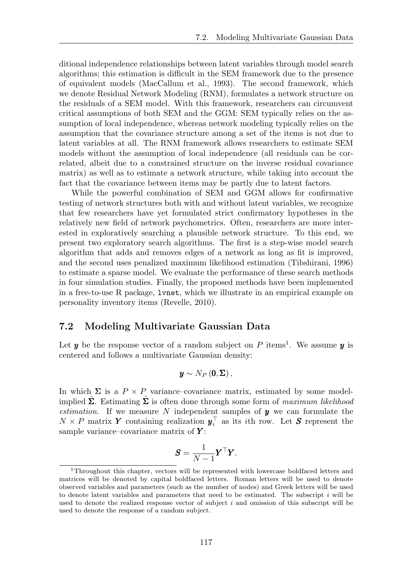ditional independence relationships between latent variables through model search algorithms; this estimation is difficult in the SEM framework due to the presence of equivalent models (MacCallum et al., 1993). The second framework, which we denote Residual Network Modeling (RNM), formulates a network structure on the residuals of a SEM model. With this framework, researchers can circumvent critical assumptions of both SEM and the GGM: SEM typically relies on the assumption of local independence, whereas network modeling typically relies on the assumption that the covariance structure among a set of the items is not due to latent variables at all. The RNM framework allows researchers to estimate SEM models without the assumption of local independence (all residuals can be correlated, albeit due to a constrained structure on the inverse residual covariance matrix) as well as to estimate a network structure, while taking into account the fact that the covariance between items may be partly due to latent factors.

While the powerful combination of SEM and GGM allows for confirmative testing of network structures both with and without latent variables, we recognize that few researchers have yet formulated strict confirmatory hypotheses in the relatively new field of network psychometrics. Often, researchers are more interested in exploratively searching a plausible network structure. To this end, we present two exploratory search algorithms. The first is a step-wise model search algorithm that adds and removes edges of a network as long as fit is improved, and the second uses penalized maximum likelihood estimation (Tibshirani, 1996) to estimate a sparse model. We evaluate the performance of these search methods in four simulation studies. Finally, the proposed methods have been implemented in a free-to-use R package, lvnet, which we illustrate in an empirical example on personality inventory items (Revelle, 2010).

### 7.2 Modeling Multivariate Gaussian Data

Let  $y$  be the response vector of a random subject on P items<sup>1</sup>. We assume  $y$  is centered and follows a multivariate Gaussian density:

$$
\boldsymbol{y} \sim N_P\left(\boldsymbol{0}, \boldsymbol{\Sigma}\right),
$$

In which  $\Sigma$  is a  $P \times P$  variance–covariance matrix, estimated by some modelimplied  $\hat{\Sigma}$ . Estimating  $\hat{\Sigma}$  is often done through some form of *maximum likelihood estimation*. If we measure *N* independent samples of *y* we can formulate the  $N \times P$  matrix *Y* containing realization  $y_i^{\perp}$  as its *i*th row. Let *S* represent the sample variance–covariance matrix of *Y* :

$$
\boldsymbol{S} = \frac{1}{N-1} \boldsymbol{Y}^\top \boldsymbol{Y}.
$$

<sup>1</sup>Throughout this chapter, vectors will be represented with lowercase boldfaced letters and matrices will be denoted by capital boldfaced letters. Roman letters will be used to denote observed variables and parameters (such as the number of nodes) and Greek letters will be used to denote latent variables and parameters that need to be estimated. The subscript *i* will be used to denote the realized response vector of subject *i* and omission of this subscript will be used to denote the response of a random subject.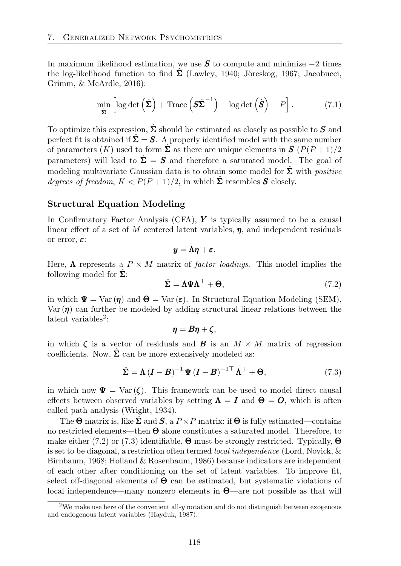In maximum likelihood estimation, we use *S* to compute and minimize *−*2 times the log-likelihood function to find  $\Sigma$  (Lawley, 1940; Jöreskog, 1967; Jacobucci, Grimm, & McArdle, 2016):

$$
\min_{\hat{\Sigma}} \left[ \log \det \left( \hat{\Sigma} \right) + \text{Trace} \left( \hat{\Sigma}^{-1} \right) - \log \det \left( \hat{\mathbf{S}} \right) - P \right]. \tag{7.1}
$$

To optimize this expression,  $\hat{\Sigma}$  should be estimated as closely as possible to  $S$  and perfect fit is obtained if  $\hat{\Sigma} = S$ . A properly identified model with the same number of parameters  $(K)$  used to form  $\hat{\Sigma}$  as there are unique elements in  $S(P(P+1)/2)$ parameters) will lead to  $\hat{\Sigma} = S$  and therefore a saturated model. The goal of modeling multivariate Gaussian data is to obtain some model for  $\hat{\Sigma}$  with *positive degrees of freedom,*  $K < P(P+1)/2$ , in which  $\hat{\Sigma}$  resembles *S* closely.

#### Structural Equation Modeling

In Confirmatory Factor Analysis (CFA), *Y* is typically assumed to be a causal linear effect of a set of  $M$  centered latent variables,  $\eta$ , and independent residuals or error,  $\varepsilon$ :

$$
y=\Lambda\eta+\varepsilon.
$$

Here,  $\Lambda$  represents a  $P \times M$  matrix of *factor loadings*. This model implies the following model for  $\Sigma$ :

$$
\hat{\Sigma} = \Lambda \Psi \Lambda^{\top} + \Theta, \tag{7.2}
$$

in which  $\Psi = \text{Var}(\eta)$  and  $\Theta = \text{Var}(\varepsilon)$ . In Structural Equation Modeling (SEM), Var  $(n)$  can further be modeled by adding structural linear relations between the latent variables<sup>2</sup>:

$$
\boldsymbol{\eta} = \boldsymbol{B} \boldsymbol{\eta} + \boldsymbol{\zeta},
$$

in which  $\zeta$  is a vector of residuals and **B** is an  $M \times M$  matrix of regression coefficients. Now,  $\Sigma$  can be more extensively modeled as:

$$
\hat{\Sigma} = \Lambda (I - B)^{-1} \Psi (I - B)^{-1 \top} \Lambda^{\top} + \Theta,
$$
\n(7.3)

in which now  $\Psi = \text{Var}(\zeta)$ . This framework can be used to model direct causal effects between observed variables by setting  $\Lambda = I$  and  $\Theta = O$ , which is often called path analysis (Wright, 1934).

The  $\Theta$  matrix is, like  $\Sigma$  and  $S$ , a  $P \times P$  matrix; if  $\Theta$  is fully estimated—contains no restricted elements—then  $\Theta$  alone constitutes a saturated model. Therefore, to make either (7.2) or (7.3) identifiable,  $\Theta$  must be strongly restricted. Typically,  $\Theta$ is set to be diagonal, a restriction often termed *local independence* (Lord, Novick, & Birnbaum, 1968; Holland & Rosenbaum, 1986) because indicators are independent of each other after conditioning on the set of latent variables. To improve fit, select off-diagonal elements of  $\Theta$  can be estimated, but systematic violations of local independence—many nonzero elements in  $\Theta$ —are not possible as that will

<sup>2</sup>We make use here of the convenient all-*y* notation and do not distinguish between exogenous and endogenous latent variables (Hayduk, 1987).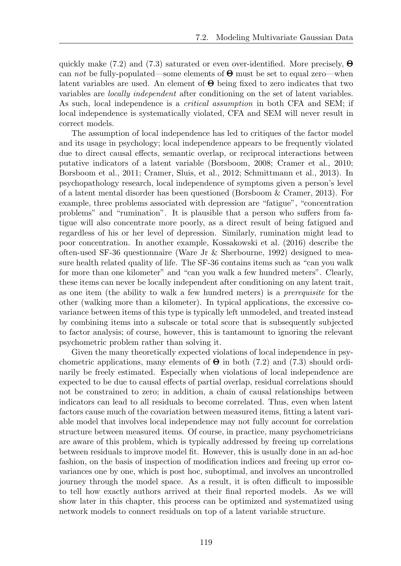quickly make (7.2) and (7.3) saturated or even over-identified. More precisely,  $\Theta$ can *not* be fully-populated—some elements of  $\Theta$  must be set to equal zero—when latent variables are used. An element of  $\Theta$  being fixed to zero indicates that two variables are *locally independent* after conditioning on the set of latent variables. As such, local independence is a *critical assumption* in both CFA and SEM; if local independence is systematically violated, CFA and SEM will never result in correct models.

The assumption of local independence has led to critiques of the factor model and its usage in psychology; local independence appears to be frequently violated due to direct causal effects, semantic overlap, or reciprocal interactions between putative indicators of a latent variable (Borsboom, 2008; Cramer et al., 2010; Borsboom et al., 2011; Cramer, Sluis, et al., 2012; Schmittmann et al., 2013). In psychopathology research, local independence of symptoms given a person's level of a latent mental disorder has been questioned (Borsboom & Cramer, 2013). For example, three problems associated with depression are "fatigue", "concentration problems" and "rumination". It is plausible that a person who suffers from fatigue will also concentrate more poorly, as a direct result of being fatigued and regardless of his or her level of depression. Similarly, rumination might lead to poor concentration. In another example, Kossakowski et al. (2016) describe the often-used SF-36 questionnaire (Ware Jr & Sherbourne, 1992) designed to measure health related quality of life. The SF-36 contains items such as "can you walk for more than one kilometer" and "can you walk a few hundred meters". Clearly, these items can never be locally independent after conditioning on any latent trait, as one item (the ability to walk a few hundred meters) is a *prerequisite* for the other (walking more than a kilometer). In typical applications, the excessive covariance between items of this type is typically left unmodeled, and treated instead by combining items into a subscale or total score that is subsequently subjected to factor analysis; of course, however, this is tantamount to ignoring the relevant psychometric problem rather than solving it.

Given the many theoretically expected violations of local independence in psychometric applications, many elements of  $\Theta$  in both (7.2) and (7.3) should ordinarily be freely estimated. Especially when violations of local independence are expected to be due to causal effects of partial overlap, residual correlations should not be constrained to zero; in addition, a chain of causal relationships between indicators can lead to all residuals to become correlated. Thus, even when latent factors cause much of the covariation between measured items, fitting a latent variable model that involves local independence may not fully account for correlation structure between measured items. Of course, in practice, many psychometricians are aware of this problem, which is typically addressed by freeing up correlations between residuals to improve model fit. However, this is usually done in an ad-hoc fashion, on the basis of inspection of modification indices and freeing up error covariances one by one, which is post hoc, suboptimal, and involves an uncontrolled journey through the model space. As a result, it is often difficult to impossible to tell how exactly authors arrived at their final reported models. As we will show later in this chapter, this process can be optimized and systematized using network models to connect residuals on top of a latent variable structure.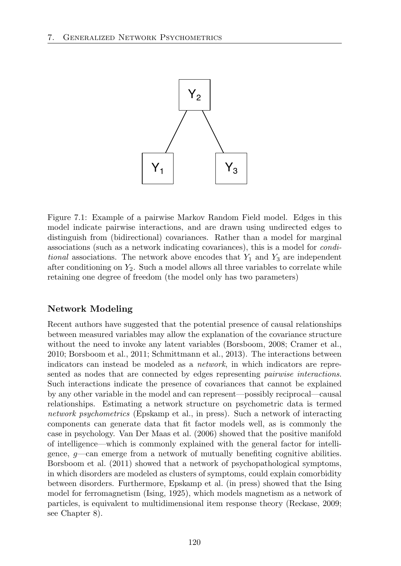

Figure 7.1: Example of a pairwise Markov Random Field model. Edges in this model indicate pairwise interactions, and are drawn using undirected edges to distinguish from (bidirectional) covariances. Rather than a model for marginal associations (such as a network indicating covariances), this is a model for *conditional* associations. The network above encodes that *Y*<sup>1</sup> and *Y*<sup>3</sup> are independent after conditioning on *Y*2. Such a model allows all three variables to correlate while retaining one degree of freedom (the model only has two parameters)

# Network Modeling

Recent authors have suggested that the potential presence of causal relationships between measured variables may allow the explanation of the covariance structure without the need to invoke any latent variables (Borsboom, 2008; Cramer et al., 2010; Borsboom et al., 2011; Schmittmann et al., 2013). The interactions between indicators can instead be modeled as a *network*, in which indicators are represented as nodes that are connected by edges representing *pairwise interactions*. Such interactions indicate the presence of covariances that cannot be explained by any other variable in the model and can represent—possibly reciprocal—causal relationships. Estimating a network structure on psychometric data is termed *network psychometrics* (Epskamp et al., in press). Such a network of interacting components can generate data that fit factor models well, as is commonly the case in psychology. Van Der Maas et al. (2006) showed that the positive manifold of intelligence—which is commonly explained with the general factor for intelligence, *g*—can emerge from a network of mutually benefiting cognitive abilities. Borsboom et al. (2011) showed that a network of psychopathological symptoms, in which disorders are modeled as clusters of symptoms, could explain comorbidity between disorders. Furthermore, Epskamp et al. (in press) showed that the Ising model for ferromagnetism (Ising, 1925), which models magnetism as a network of particles, is equivalent to multidimensional item response theory (Reckase, 2009; see Chapter 8).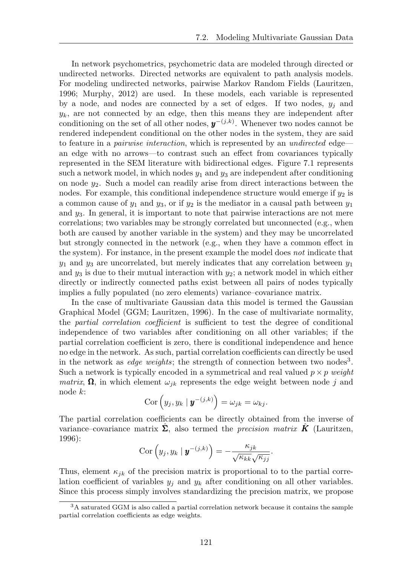In network psychometrics, psychometric data are modeled through directed or undirected networks. Directed networks are equivalent to path analysis models. For modeling undirected networks, pairwise Markov Random Fields (Lauritzen, 1996; Murphy, 2012) are used. In these models, each variable is represented by a node, and nodes are connected by a set of edges. If two nodes,  $y_j$  and  $y_k$ , are not connected by an edge, then this means they are independent after conditioning on the set of all other nodes, *y−*(*j,k*) . Whenever two nodes cannot be rendered independent conditional on the other nodes in the system, they are said to feature in a *pairwise interaction*, which is represented by an *undirected* edge an edge with no arrows—to contrast such an effect from covariances typically represented in the SEM literature with bidirectional edges. Figure 7.1 represents such a network model, in which nodes  $y_1$  and  $y_3$  are independent after conditioning on node *y*2. Such a model can readily arise from direct interactions between the nodes. For example, this conditional independence structure would emerge if  $y_2$  is a common cause of  $y_1$  and  $y_3$ , or if  $y_2$  is the mediator in a causal path between  $y_1$ and *y*3. In general, it is important to note that pairwise interactions are not mere correlations; two variables may be strongly correlated but unconnected (e.g., when both are caused by another variable in the system) and they may be uncorrelated but strongly connected in the network  $(e.g.,$  when they have a common effect in the system). For instance, in the present example the model does *not* indicate that  $y_1$  and  $y_3$  are uncorrelated, but merely indicates that any correlation between  $y_1$ and *y*<sup>3</sup> is due to their mutual interaction with *y*2; a network model in which either directly or indirectly connected paths exist between all pairs of nodes typically implies a fully populated (no zero elements) variance–covariance matrix.

In the case of multivariate Gaussian data this model is termed the Gaussian Graphical Model (GGM; Lauritzen, 1996). In the case of multivariate normality, the *partial correlation coefficient* is sufficient to test the degree of conditional independence of two variables after conditioning on all other variables; if the partial correlation coefficient is zero, there is conditional independence and hence no edge in the network. As such, partial correlation coefficients can directly be used in the network as *edge weights*; the strength of connection between two nodes<sup>3</sup>. Such a network is typically encoded in a symmetrical and real valued  $p \times p$  *weight matrix*,  $\Omega$ , in which element  $\omega_{ik}$  represents the edge weight between node *j* and node *k*:

$$
Cor (y_j, y_k | \mathbf{y}^{-(j,k)}) = \omega_{jk} = \omega_{kj}.
$$

The partial correlation coefficients can be directly obtained from the inverse of variance–covariance matrix  $\Sigma$ , also termed the *precision matrix*  $\boldsymbol{K}$  (Lauritzen, 1996):

$$
Cov\left(y_j, y_k \mid \boldsymbol{y}^{-(j,k)}\right) = -\frac{\kappa_{jk}}{\sqrt{\kappa_{kk}}\sqrt{\kappa_{jj}}}.
$$

Thus, element  $\kappa_{jk}$  of the precision matrix is proportional to to the partial correlation coefficient of variables  $y_j$  and  $y_k$  after conditioning on all other variables. Since this process simply involves standardizing the precision matrix, we propose

<sup>3</sup>A saturated GGM is also called a partial correlation network because it contains the sample partial correlation coefficients as edge weights.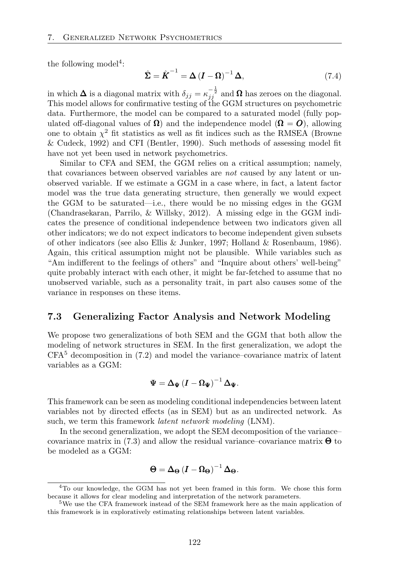the following model<sup>4</sup>:

$$
\hat{\Sigma} = \hat{K}^{-1} = \Delta \left( I - \Omega \right)^{-1} \Delta, \tag{7.4}
$$

in which  $\Delta$  is a diagonal matrix with  $\delta_{jj} = \kappa_{jj}^{-\frac{1}{2}}$  and  $\Omega$  has zeroes on the diagonal. This model allows for confirmative testing of the GGM structures on psychometric data. Furthermore, the model can be compared to a saturated model (fully populated off-diagonal values of  $\Omega$ ) and the independence model  $(\Omega = O)$ , allowing one to obtain  $\chi^2$  fit statistics as well as fit indices such as the RMSEA (Browne & Cudeck, 1992) and CFI (Bentler, 1990). Such methods of assessing model fit have not yet been used in network psychometrics.

Similar to CFA and SEM, the GGM relies on a critical assumption; namely, that covariances between observed variables are *not* caused by any latent or unobserved variable. If we estimate a GGM in a case where, in fact, a latent factor model was the true data generating structure, then generally we would expect the GGM to be saturated—i.e., there would be no missing edges in the GGM (Chandrasekaran, Parrilo, & Willsky, 2012). A missing edge in the GGM indicates the presence of conditional independence between two indicators given all other indicators; we do not expect indicators to become independent given subsets of other indicators (see also Ellis & Junker, 1997; Holland & Rosenbaum, 1986). Again, this critical assumption might not be plausible. While variables such as "Am indifferent to the feelings of others" and "Inquire about others' well-being" quite probably interact with each other, it might be far-fetched to assume that no unobserved variable, such as a personality trait, in part also causes some of the variance in responses on these items.

# 7.3 Generalizing Factor Analysis and Network Modeling

We propose two generalizations of both SEM and the GGM that both allow the modeling of network structures in SEM. In the first generalization, we adopt the  $CFA<sup>5</sup>$  decomposition in (7.2) and model the variance–covariance matrix of latent variables as a GGM:

$$
\Psi = \Delta_{\Psi} (I - \Omega_{\Psi})^{-1} \Delta_{\Psi}.
$$

This framework can be seen as modeling conditional independencies between latent variables not by directed effects (as in SEM) but as an undirected network. As such, we term this framework *latent network modeling* (LNM).

In the second generalization, we adopt the SEM decomposition of the variance– covariance matrix in (7.3) and allow the residual variance–covariance matrix  $\Theta$  to be modeled as a GGM:

$$
\Theta = \Delta_{\Theta} (I - \Omega_{\Theta})^{-1} \Delta_{\Theta}.
$$

<sup>4</sup>To our knowledge, the GGM has not yet been framed in this form. We chose this form because it allows for clear modeling and interpretation of the network parameters.

<sup>&</sup>lt;sup>5</sup>We use the CFA framework instead of the SEM framework here as the main application of this framework is in exploratively estimating relationships between latent variables.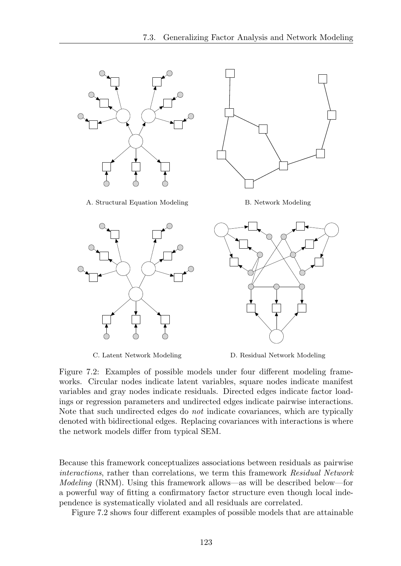

C. Latent Network Modeling D. Residual Network Modeling

Figure 7.2: Examples of possible models under four different modeling frameworks. Circular nodes indicate latent variables, square nodes indicate manifest variables and gray nodes indicate residuals. Directed edges indicate factor loadings or regression parameters and undirected edges indicate pairwise interactions. Note that such undirected edges do *not* indicate covariances, which are typically denoted with bidirectional edges. Replacing covariances with interactions is where the network models differ from typical SEM.

Because this framework conceptualizes associations between residuals as pairwise *interactions*, rather than correlations, we term this framework *Residual Network Modeling* (RNM). Using this framework allows—as will be described below—for a powerful way of fitting a confirmatory factor structure even though local independence is systematically violated and all residuals are correlated.

Figure 7.2 shows four different examples of possible models that are attainable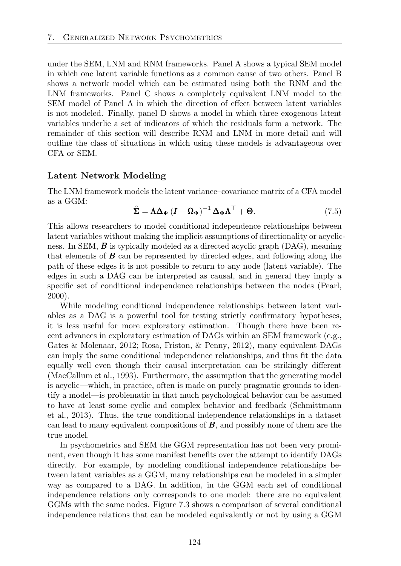under the SEM, LNM and RNM frameworks. Panel A shows a typical SEM model in which one latent variable functions as a common cause of two others. Panel B shows a network model which can be estimated using both the RNM and the LNM frameworks. Panel C shows a completely equivalent LNM model to the SEM model of Panel A in which the direction of effect between latent variables is not modeled. Finally, panel D shows a model in which three exogenous latent variables underlie a set of indicators of which the residuals form a network. The remainder of this section will describe RNM and LNM in more detail and will outline the class of situations in which using these models is advantageous over CFA or SEM.

#### Latent Network Modeling

The LNM framework models the latent variance–covariance matrix of a CFA model as a GGM:

$$
\hat{\Sigma} = \Lambda \Delta_{\Psi} \left( I - \Omega_{\Psi} \right)^{-1} \Delta_{\Psi} \Lambda^{\top} + \Theta. \tag{7.5}
$$

This allows researchers to model conditional independence relationships between latent variables without making the implicit assumptions of directionality or acyclicness. In SEM, *B* is typically modeled as a directed acyclic graph (DAG), meaning that elements of *B* can be represented by directed edges, and following along the path of these edges it is not possible to return to any node (latent variable). The edges in such a DAG can be interpreted as causal, and in general they imply a specific set of conditional independence relationships between the nodes (Pearl, 2000).

While modeling conditional independence relationships between latent variables as a DAG is a powerful tool for testing strictly confirmatory hypotheses, it is less useful for more exploratory estimation. Though there have been recent advances in exploratory estimation of DAGs within an SEM framework (e.g., Gates & Molenaar, 2012; Rosa, Friston, & Penny, 2012), many equivalent DAGs can imply the same conditional independence relationships, and thus fit the data equally well even though their causal interpretation can be strikingly different (MacCallum et al., 1993). Furthermore, the assumption that the generating model is acyclic—which, in practice, often is made on purely pragmatic grounds to identify a model—is problematic in that much psychological behavior can be assumed to have at least some cyclic and complex behavior and feedback (Schmittmann et al., 2013). Thus, the true conditional independence relationships in a dataset can lead to many equivalent compositions of *B*, and possibly none of them are the true model.

In psychometrics and SEM the GGM representation has not been very prominent, even though it has some manifest benefits over the attempt to identify DAGs directly. For example, by modeling conditional independence relationships between latent variables as a GGM, many relationships can be modeled in a simpler way as compared to a DAG. In addition, in the GGM each set of conditional independence relations only corresponds to one model: there are no equivalent GGMs with the same nodes. Figure 7.3 shows a comparison of several conditional independence relations that can be modeled equivalently or not by using a GGM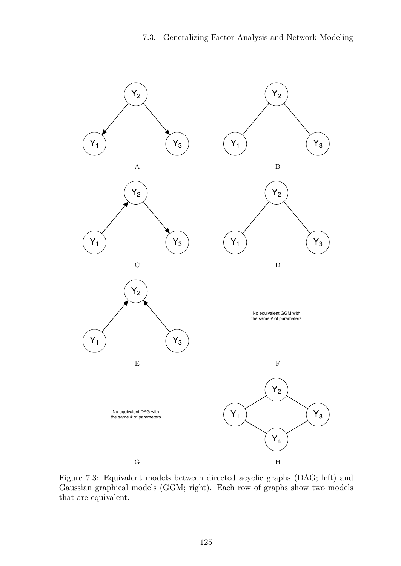

Figure 7.3: Equivalent models between directed acyclic graphs (DAG; left) and Gaussian graphical models (GGM; right). Each row of graphs show two models that are equivalent.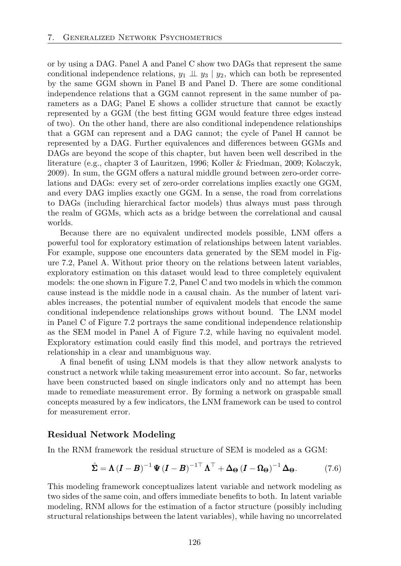or by using a DAG. Panel A and Panel C show two DAGs that represent the same conditional independence relations,  $y_1 \perp y_3 \perp y_2$ , which can both be represented by the same GGM shown in Panel B and Panel D. There are some conditional independence relations that a GGM cannot represent in the same number of parameters as a DAG; Panel E shows a collider structure that cannot be exactly represented by a GGM (the best fitting GGM would feature three edges instead of two). On the other hand, there are also conditional independence relationships that a GGM can represent and a DAG cannot; the cycle of Panel H cannot be represented by a DAG. Further equivalences and differences between GGMs and DAGs are beyond the scope of this chapter, but haven been well described in the literature (e.g., chapter 3 of Lauritzen, 1996; Koller & Friedman, 2009; Kolaczyk, 2009). In sum, the GGM offers a natural middle ground between zero-order correlations and DAGs: every set of zero-order correlations implies exactly one GGM, and every DAG implies exactly one GGM. In a sense, the road from correlations to DAGs (including hierarchical factor models) thus always must pass through the realm of GGMs, which acts as a bridge between the correlational and causal worlds.

Because there are no equivalent undirected models possible, LNM offers a powerful tool for exploratory estimation of relationships between latent variables. For example, suppose one encounters data generated by the SEM model in Figure 7.2, Panel A. Without prior theory on the relations between latent variables, exploratory estimation on this dataset would lead to three completely equivalent models: the one shown in Figure 7.2, Panel C and two models in which the common cause instead is the middle node in a causal chain. As the number of latent variables increases, the potential number of equivalent models that encode the same conditional independence relationships grows without bound. The LNM model in Panel C of Figure 7.2 portrays the same conditional independence relationship as the SEM model in Panel A of Figure 7.2, while having no equivalent model. Exploratory estimation could easily find this model, and portrays the retrieved relationship in a clear and unambiguous way.

A final benefit of using LNM models is that they allow network analysts to construct a network while taking measurement error into account. So far, networks have been constructed based on single indicators only and no attempt has been made to remediate measurement error. By forming a network on graspable small concepts measured by a few indicators, the LNM framework can be used to control for measurement error.

#### Residual Network Modeling

In the RNM framework the residual structure of SEM is modeled as a GGM:

$$
\hat{\Sigma} = \Lambda (I - B)^{-1} \Psi (I - B)^{-1 \top} \Lambda^{\top} + \Delta_{\Theta} (I - \Omega_{\Theta})^{-1} \Delta_{\Theta}.
$$
 (7.6)

This modeling framework conceptualizes latent variable and network modeling as two sides of the same coin, and offers immediate benefits to both. In latent variable modeling, RNM allows for the estimation of a factor structure (possibly including structural relationships between the latent variables), while having no uncorrelated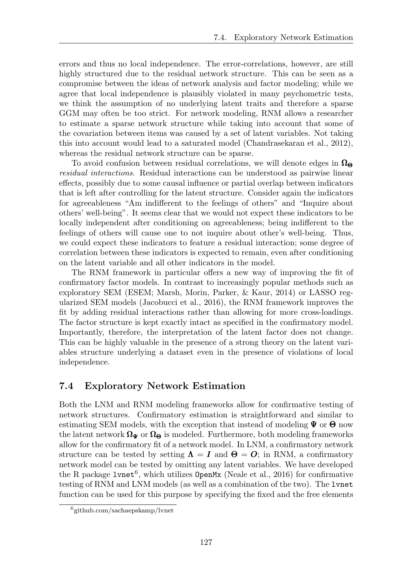errors and thus no local independence. The error-correlations, however, are still highly structured due to the residual network structure. This can be seen as a compromise between the ideas of network analysis and factor modeling; while we agree that local independence is plausibly violated in many psychometric tests, we think the assumption of no underlying latent traits and therefore a sparse GGM may often be too strict. For network modeling, RNM allows a researcher to estimate a sparse network structure while taking into account that some of the covariation between items was caused by a set of latent variables. Not taking this into account would lead to a saturated model (Chandrasekaran et al., 2012), whereas the residual network structure can be sparse.

To avoid confusion between residual correlations, we will denote edges in  $\Omega_{\Theta}$ *residual interactions*. Residual interactions can be understood as pairwise linear effects, possibly due to some causal influence or partial overlap between indicators that is left after controlling for the latent structure. Consider again the indicators for agreeableness "Am indifferent to the feelings of others" and "Inquire about others' well-being". It seems clear that we would not expect these indicators to be locally independent after conditioning on agreeableness; being indifferent to the feelings of others will cause one to not inquire about other's well-being. Thus, we could expect these indicators to feature a residual interaction; some degree of correlation between these indicators is expected to remain, even after conditioning on the latent variable and all other indicators in the model.

The RNM framework in particular offers a new way of improving the fit of confirmatory factor models. In contrast to increasingly popular methods such as exploratory SEM (ESEM; Marsh, Morin, Parker, & Kaur, 2014) or LASSO regularized SEM models (Jacobucci et al., 2016), the RNM framework improves the fit by adding residual interactions rather than allowing for more cross-loadings. The factor structure is kept exactly intact as specified in the confirmatory model. Importantly, therefore, the interpretation of the latent factor does not change. This can be highly valuable in the presence of a strong theory on the latent variables structure underlying a dataset even in the presence of violations of local independence.

# 7.4 Exploratory Network Estimation

Both the LNM and RNM modeling frameworks allow for confirmative testing of network structures. Confirmatory estimation is straightforward and similar to estimating SEM models, with the exception that instead of modeling  $\Psi$  or  $\Theta$  now the latent network  $\Omega_{\Psi}$  or  $\Omega_{\Theta}$  is modeled. Furthermore, both modeling frameworks allow for the confirmatory fit of a network model. In LNM, a confirmatory network structure can be tested by setting  $\Lambda = I$  and  $\Theta = O$ ; in RNM, a confirmatory network model can be tested by omitting any latent variables. We have developed the R package  $l$ vnet<sup>6</sup>, which utilizes OpenMx (Neale et al., 2016) for confirmative testing of RNM and LNM models (as well as a combination of the two). The lvnet function can be used for this purpose by specifying the fixed and the free elements

<sup>6</sup>github.com/sachaepskamp/lvnet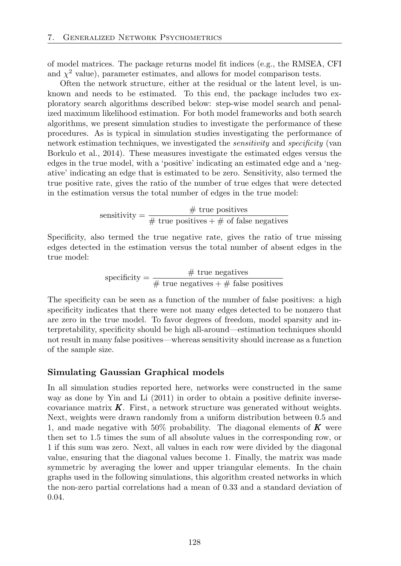of model matrices. The package returns model fit indices (e.g., the RMSEA, CFI and  $\chi^2$  value), parameter estimates, and allows for model comparison tests.

Often the network structure, either at the residual or the latent level, is unknown and needs to be estimated. To this end, the package includes two exploratory search algorithms described below: step-wise model search and penalized maximum likelihood estimation. For both model frameworks and both search algorithms, we present simulation studies to investigate the performance of these procedures. As is typical in simulation studies investigating the performance of network estimation techniques, we investigated the *sensitivity* and *specificity* (van Borkulo et al., 2014). These measures investigate the estimated edges versus the edges in the true model, with a 'positive' indicating an estimated edge and a 'negative' indicating an edge that is estimated to be zero. Sensitivity, also termed the true positive rate, gives the ratio of the number of true edges that were detected in the estimation versus the total number of edges in the true model:

sensitivity = 
$$
\frac{\# \text{ true positives}}{\# \text{ true positives} + \# \text{ of false negatives}}
$$

Specificity, also termed the true negative rate, gives the ratio of true missing edges detected in the estimation versus the total number of absent edges in the true model:

specificity = 
$$
\frac{\# \text{ true negatives}}{\# \text{ true negatives} + \# \text{ false positives}}
$$

The specificity can be seen as a function of the number of false positives: a high specificity indicates that there were not many edges detected to be nonzero that are zero in the true model. To favor degrees of freedom, model sparsity and interpretability, specificity should be high all-around—estimation techniques should not result in many false positives—whereas sensitivity should increase as a function of the sample size.

#### Simulating Gaussian Graphical models

In all simulation studies reported here, networks were constructed in the same way as done by Yin and Li (2011) in order to obtain a positive definite inversecovariance matrix  $\boldsymbol{K}$ . First, a network structure was generated without weights. Next, weights were drawn randomly from a uniform distribution between 0*.*5 and 1, and made negative with 50% probability. The diagonal elements of *K* were then set to 1*.*5 times the sum of all absolute values in the corresponding row, or 1 if this sum was zero. Next, all values in each row were divided by the diagonal value, ensuring that the diagonal values become 1. Finally, the matrix was made symmetric by averaging the lower and upper triangular elements. In the chain graphs used in the following simulations, this algorithm created networks in which the non-zero partial correlations had a mean of 0*.*33 and a standard deviation of 0*.*04.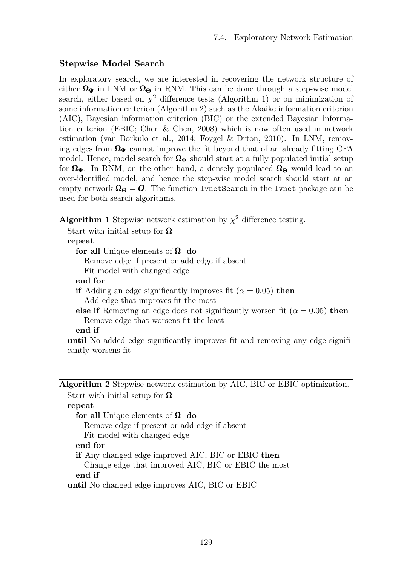# Stepwise Model Search

In exploratory search, we are interested in recovering the network structure of either  $\Omega_{\Psi}$  in LNM or  $\Omega_{\Theta}$  in RNM. This can be done through a step-wise model search, either based on  $\chi^2$  difference tests (Algorithm 1) or on minimization of some information criterion (Algorithm 2) such as the Akaike information criterion (AIC), Bayesian information criterion (BIC) or the extended Bayesian information criterion (EBIC; Chen & Chen, 2008) which is now often used in network estimation (van Borkulo et al., 2014; Foygel & Drton, 2010). In LNM, removing edges from  $\Omega_{\Psi}$  cannot improve the fit beyond that of an already fitting CFA model. Hence, model search for  $\Omega_{\Psi}$  should start at a fully populated initial setup for  $\Omega_{\Psi}$ . In RNM, on the other hand, a densely populated  $\Omega_{\Theta}$  would lead to an over-identified model, and hence the step-wise model search should start at an empty network  $\Omega_{\Theta} = O$ . The function lynetSearch in the lynet package can be used for both search algorithms.

| <b>Algorithm 1</b> Stepwise network estimation by $\chi^2$ difference testing.       |
|--------------------------------------------------------------------------------------|
| Start with initial setup for $\Omega$                                                |
| repeat                                                                               |
| for all Unique elements of $\Omega$ do                                               |
| Remove edge if present or add edge if absent                                         |
| Fit model with changed edge                                                          |
| end for                                                                              |
| if Adding an edge significantly improves fit ( $\alpha = 0.05$ ) then                |
| Add edge that improves fit the most                                                  |
| else if Removing an edge does not significantly worsen fit ( $\alpha = 0.05$ ) then  |
| Remove edge that worsens fit the least                                               |
| end if                                                                               |
| <b>until</b> No added edge significantly improves fit and removing any edge signifi- |
| cantly worsens fit                                                                   |

|  |  |  |  |  |  |  | Algorithm 2 Stepwise network estimation by AIC, BIC or EBIC optimization. |
|--|--|--|--|--|--|--|---------------------------------------------------------------------------|
|--|--|--|--|--|--|--|---------------------------------------------------------------------------|

Start with initial setup for  $\Omega$ repeat for all Unique elements of  $\Omega$  do Remove edge if present or add edge if absent Fit model with changed edge end for if Any changed edge improved AIC, BIC or EBIC then Change edge that improved AIC, BIC or EBIC the most end if until No changed edge improves AIC, BIC or EBIC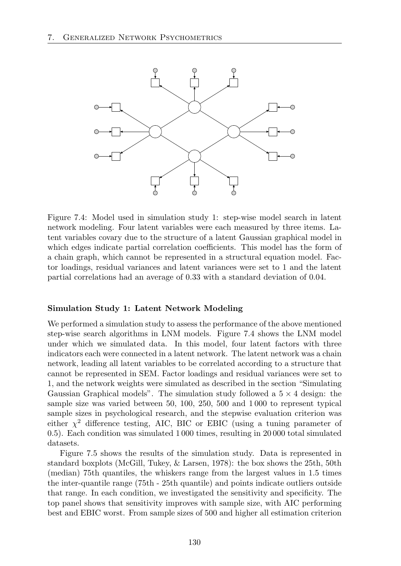

Figure 7.4: Model used in simulation study 1: step-wise model search in latent network modeling. Four latent variables were each measured by three items. Latent variables covary due to the structure of a latent Gaussian graphical model in which edges indicate partial correlation coefficients. This model has the form of a chain graph, which cannot be represented in a structural equation model. Factor loadings, residual variances and latent variances were set to 1 and the latent partial correlations had an average of 0*.*33 with a standard deviation of 0*.*04.

#### Simulation Study 1: Latent Network Modeling

We performed a simulation study to assess the performance of the above mentioned step-wise search algorithms in LNM models. Figure 7.4 shows the LNM model under which we simulated data. In this model, four latent factors with three indicators each were connected in a latent network. The latent network was a chain network, leading all latent variables to be correlated according to a structure that cannot be represented in SEM. Factor loadings and residual variances were set to 1, and the network weights were simulated as described in the section "Simulating Gaussian Graphical models". The simulation study followed a  $5 \times 4$  design: the sample size was varied between 50, 100, 250, 500 and 1 000 to represent typical sample sizes in psychological research, and the stepwise evaluation criterion was either  $\chi^2$  difference testing, AIC, BIC or EBIC (using a tuning parameter of 0.5). Each condition was simulated 1 000 times, resulting in 20 000 total simulated datasets.

Figure 7.5 shows the results of the simulation study. Data is represented in standard boxplots (McGill, Tukey, & Larsen, 1978): the box shows the 25th, 50th (median) 75th quantiles, the whiskers range from the largest values in 1*.*5 times the inter-quantile range (75th - 25th quantile) and points indicate outliers outside that range. In each condition, we investigated the sensitivity and specificity. The top panel shows that sensitivity improves with sample size, with AIC performing best and EBIC worst. From sample sizes of 500 and higher all estimation criterion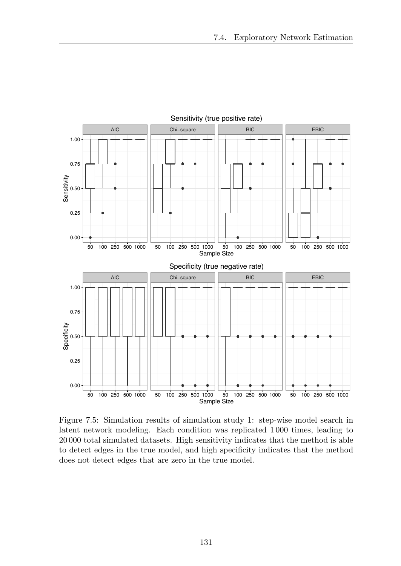

Figure 7.5: Simulation results of simulation study 1: step-wise model search in latent network modeling. Each condition was replicated 1 000 times, leading to 20 000 total simulated datasets. High sensitivity indicates that the method is able to detect edges in the true model, and high specificity indicates that the method does not detect edges that are zero in the true model.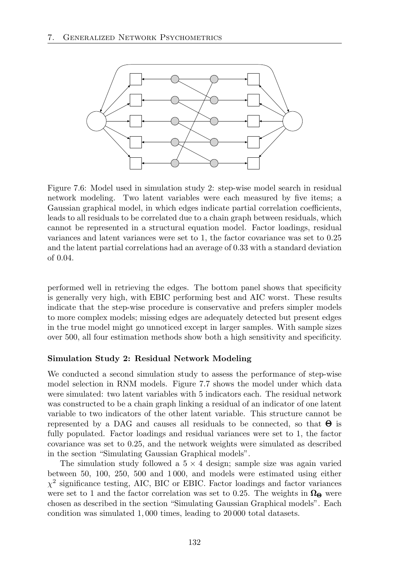

Figure 7.6: Model used in simulation study 2: step-wise model search in residual network modeling. Two latent variables were each measured by five items; a Gaussian graphical model, in which edges indicate partial correlation coefficients, leads to all residuals to be correlated due to a chain graph between residuals, which cannot be represented in a structural equation model. Factor loadings, residual variances and latent variances were set to 1, the factor covariance was set to 0*.*25 and the latent partial correlations had an average of 0*.*33 with a standard deviation of 0*.*04.

performed well in retrieving the edges. The bottom panel shows that specificity is generally very high, with EBIC performing best and AIC worst. These results indicate that the step-wise procedure is conservative and prefers simpler models to more complex models; missing edges are adequately detected but present edges in the true model might go unnoticed except in larger samples. With sample sizes over 500, all four estimation methods show both a high sensitivity and specificity.

#### Simulation Study 2: Residual Network Modeling

We conducted a second simulation study to assess the performance of step-wise model selection in RNM models. Figure 7.7 shows the model under which data were simulated: two latent variables with 5 indicators each. The residual network was constructed to be a chain graph linking a residual of an indicator of one latent variable to two indicators of the other latent variable. This structure cannot be represented by a DAG and causes all residuals to be connected, so that  $\Theta$  is fully populated. Factor loadings and residual variances were set to 1, the factor covariance was set to 0*.*25, and the network weights were simulated as described in the section "Simulating Gaussian Graphical models".

The simulation study followed a  $5 \times 4$  design; sample size was again varied between 50, 100, 250, 500 and 1 000, and models were estimated using either *χ*<sup>2</sup> significance testing, AIC, BIC or EBIC. Factor loadings and factor variances were set to 1 and the factor correlation was set to 0.25. The weights in  $\Omega_{\Theta}$  were chosen as described in the section "Simulating Gaussian Graphical models". Each condition was simulated 1*,* 000 times, leading to 20 000 total datasets.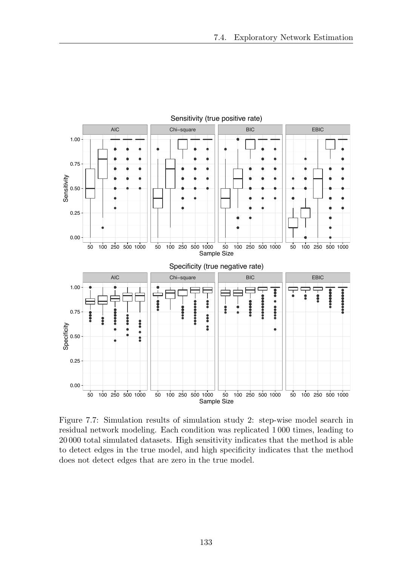

Figure 7.7: Simulation results of simulation study 2: step-wise model search in residual network modeling. Each condition was replicated 1 000 times, leading to 20 000 total simulated datasets. High sensitivity indicates that the method is able to detect edges in the true model, and high specificity indicates that the method does not detect edges that are zero in the true model.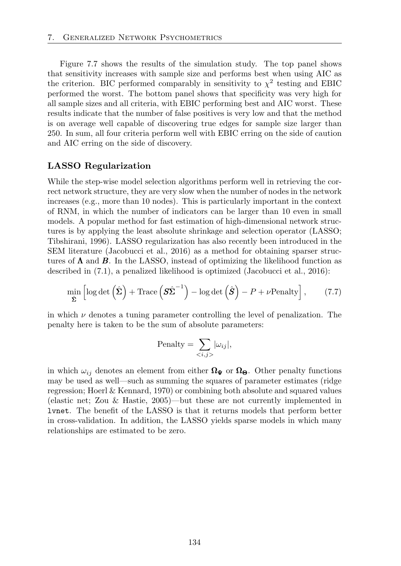Figure 7.7 shows the results of the simulation study. The top panel shows that sensitivity increases with sample size and performs best when using AIC as the criterion. BIC performed comparably in sensitivity to  $\chi^2$  testing and EBIC performed the worst. The bottom panel shows that specificity was very high for all sample sizes and all criteria, with EBIC performing best and AIC worst. These results indicate that the number of false positives is very low and that the method is on average well capable of discovering true edges for sample size larger than 250. In sum, all four criteria perform well with EBIC erring on the side of caution and AIC erring on the side of discovery.

#### LASSO Regularization

While the step-wise model selection algorithms perform well in retrieving the correct network structure, they are very slow when the number of nodes in the network increases (e.g., more than 10 nodes). This is particularly important in the context of RNM, in which the number of indicators can be larger than 10 even in small models. A popular method for fast estimation of high-dimensional network structures is by applying the least absolute shrinkage and selection operator (LASSO; Tibshirani, 1996). LASSO regularization has also recently been introduced in the SEM literature (Jacobucci et al., 2016) as a method for obtaining sparser structures of  $\Lambda$  and  $\tilde{B}$ . In the LASSO, instead of optimizing the likelihood function as described in (7.1), a penalized likelihood is optimized (Jacobucci et al., 2016):

$$
\min_{\hat{\Sigma}} \left[ \log \det \left( \hat{\Sigma} \right) + \text{Trace} \left( \hat{\Sigma} \hat{\Sigma}^{-1} \right) - \log \det \left( \hat{\mathbf{S}} \right) - P + \nu \text{Penalty} \right],\tag{7.7}
$$

in which  $\nu$  denotes a tuning parameter controlling the level of penalization. The penalty here is taken to be the sum of absolute parameters:

$$
\text{Penalty} = \sum_{\langle i,j \rangle} |\omega_{ij}|,
$$

in which  $\omega_{ij}$  denotes an element from either  $\Omega_{\Psi}$  or  $\Omega_{\Theta}$ . Other penalty functions may be used as well—such as summing the squares of parameter estimates (ridge regression; Hoerl & Kennard, 1970) or combining both absolute and squared values (elastic net; Zou & Hastie, 2005)—but these are not currently implemented in lvnet. The benefit of the LASSO is that it returns models that perform better in cross-validation. In addition, the LASSO yields sparse models in which many relationships are estimated to be zero.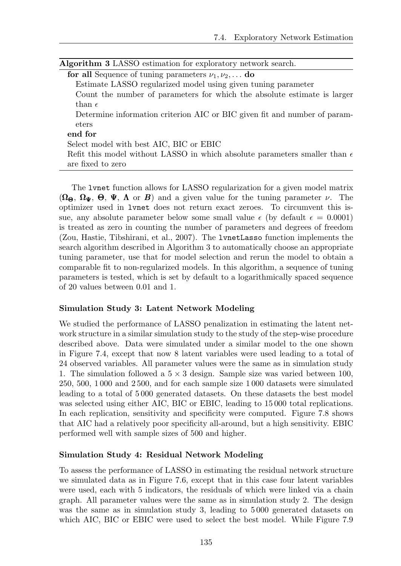| $\mathbf{1}$ is a second to the set of $\mathbf{1}$ is the second form of $\mathbf{1}$ in $\mathbf{1}$ is the second of $\mathbf{1}$ |
|--------------------------------------------------------------------------------------------------------------------------------------|
| <b>for all</b> Sequence of tuning parameters $\nu_1, \nu_2, \ldots$ <b>do</b>                                                        |
| Estimate LASSO regularized model using given tuning parameter                                                                        |
| Count the number of parameters for which the absolute estimate is larger                                                             |
| than $\epsilon$                                                                                                                      |
| Determine information criterion AIC or BIC given fit and number of param-                                                            |
| eters                                                                                                                                |
| end for                                                                                                                              |
| Select model with best AIC, BIC or EBIC                                                                                              |
|                                                                                                                                      |

Algorithm 3 LASSO estimation for exploratory network search.

Refit this model without LASSO in which absolute parameters smaller than  $\epsilon$ are fixed to zero

The lvnet function allows for LASSO regularization for a given model matrix  $(\Omega_{\Theta}, \Omega_{\Psi}, \Theta, \Psi, \Lambda)$  or *B*) and a given value for the tuning parameter  $\nu$ . The optimizer used in lvnet does not return exact zeroes. To circumvent this issue, any absolute parameter below some small value  $\epsilon$  (by default  $\epsilon = 0.0001$ ) is treated as zero in counting the number of parameters and degrees of freedom (Zou, Hastie, Tibshirani, et al., 2007). The lvnetLasso function implements the search algorithm described in Algorithm 3 to automatically choose an appropriate tuning parameter, use that for model selection and rerun the model to obtain a comparable fit to non-regularized models. In this algorithm, a sequence of tuning parameters is tested, which is set by default to a logarithmically spaced sequence of 20 values between 0*.*01 and 1.

# Simulation Study 3: Latent Network Modeling

We studied the performance of LASSO penalization in estimating the latent network structure in a similar simulation study to the study of the step-wise procedure described above. Data were simulated under a similar model to the one shown in Figure 7.4, except that now 8 latent variables were used leading to a total of 24 observed variables. All parameter values were the same as in simulation study 1. The simulation followed a  $5 \times 3$  design. Sample size was varied between 100, 250, 500, 1 000 and 2 500, and for each sample size 1 000 datasets were simulated leading to a total of 5 000 generated datasets. On these datasets the best model was selected using either AIC, BIC or EBIC, leading to 15 000 total replications. In each replication, sensitivity and specificity were computed. Figure 7.8 shows that AIC had a relatively poor specificity all-around, but a high sensitivity. EBIC performed well with sample sizes of 500 and higher.

# Simulation Study 4: Residual Network Modeling

To assess the performance of LASSO in estimating the residual network structure we simulated data as in Figure 7.6, except that in this case four latent variables were used, each with 5 indicators, the residuals of which were linked via a chain graph. All parameter values were the same as in simulation study 2. The design was the same as in simulation study 3, leading to 5 000 generated datasets on which AIC, BIC or EBIC were used to select the best model. While Figure 7.9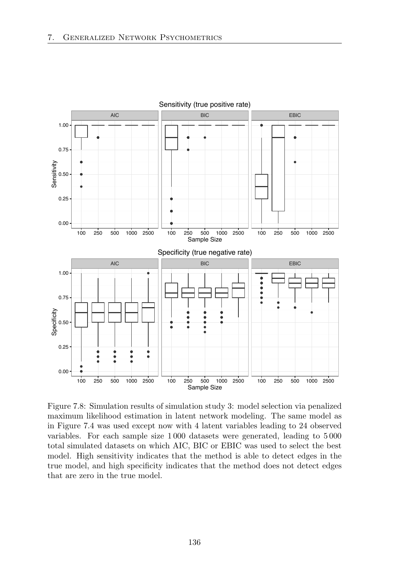

Figure 7.8: Simulation results of simulation study 3: model selection via penalized maximum likelihood estimation in latent network modeling. The same model as in Figure 7.4 was used except now with 4 latent variables leading to 24 observed variables. For each sample size 1 000 datasets were generated, leading to 5 000 total simulated datasets on which AIC, BIC or EBIC was used to select the best model. High sensitivity indicates that the method is able to detect edges in the true model, and high specificity indicates that the method does not detect edges that are zero in the true model.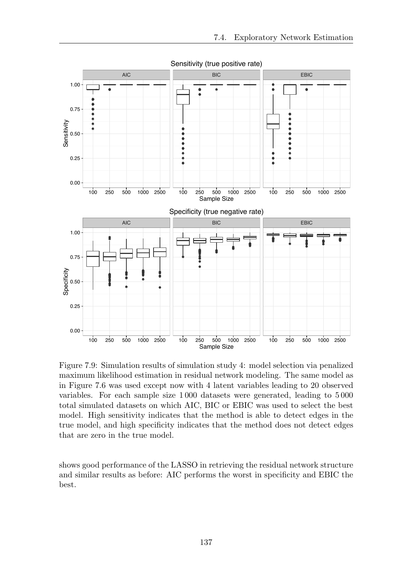

Figure 7.9: Simulation results of simulation study 4: model selection via penalized maximum likelihood estimation in residual network modeling. The same model as in Figure 7.6 was used except now with 4 latent variables leading to 20 observed variables. For each sample size 1 000 datasets were generated, leading to 5 000 total simulated datasets on which AIC, BIC or EBIC was used to select the best model. High sensitivity indicates that the method is able to detect edges in the true model, and high specificity indicates that the method does not detect edges that are zero in the true model.

shows good performance of the LASSO in retrieving the residual network structure and similar results as before: AIC performs the worst in specificity and EBIC the best.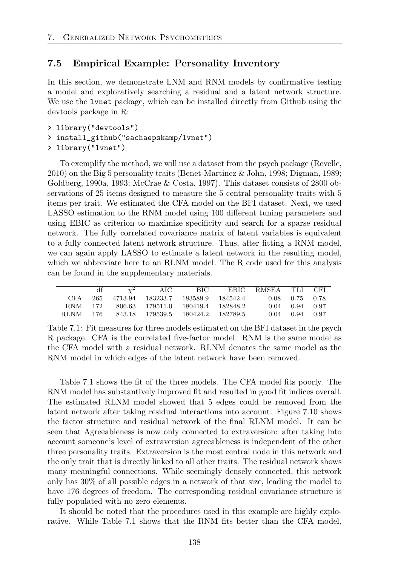# 7.5 Empirical Example: Personality Inventory

In this section, we demonstrate LNM and RNM models by confirmative testing a model and exploratively searching a residual and a latent network structure. We use the lvnet package, which can be installed directly from Github using the devtools package in R:

- > library("devtools")
- > install\_github("sachaepskamp/lvnet")
- > library("lvnet")

To exemplify the method, we will use a dataset from the psych package (Revelle, 2010) on the Big 5 personality traits (Benet-Martinez & John, 1998; Digman, 1989; Goldberg, 1990a, 1993; McCrae & Costa, 1997). This dataset consists of 2800 observations of 25 items designed to measure the 5 central personality traits with 5 items per trait. We estimated the CFA model on the BFI dataset. Next, we used LASSO estimation to the RNM model using 100 different tuning parameters and using EBIC as criterion to maximize specificity and search for a sparse residual network. The fully correlated covariance matrix of latent variables is equivalent to a fully connected latent network structure. Thus, after fitting a RNM model, we can again apply LASSO to estimate a latent network in the resulting model, which we abbreviate here to an RLNM model. The R code used for this analysis can be found in the supplementary materials.

|            |     |         | AІC      | BІC      | EBIC.      | RMSEA | TH J | CEI    |
|------------|-----|---------|----------|----------|------------|-------|------|--------|
| CFA        | 265 | 4713.94 | 183233.7 | 183589.9 | 184542.4   | 0.08  | 0.75 | - 0.78 |
| <b>RNM</b> | 172 | 806.63  | 179511.0 | 180419.4 | - 182848.2 | 0.04  | 0.94 | . በ 97 |
| RLNM-      | 176 | 843.18  | 179539.5 | 180424.2 | - 182789.5 | 0.04  | 0.94 | በ 97   |

Table 7.1: Fit measures for three models estimated on the BFI dataset in the psych R package. CFA is the correlated five-factor model. RNM is the same model as the CFA model with a residual network. RLNM denotes the same model as the RNM model in which edges of the latent network have been removed.

Table 7.1 shows the fit of the three models. The CFA model fits poorly. The RNM model has substantively improved fit and resulted in good fit indices overall. The estimated RLNM model showed that 5 edges could be removed from the latent network after taking residual interactions into account. Figure 7.10 shows the factor structure and residual network of the final RLNM model. It can be seen that Agreeableness is now only connected to extraversion: after taking into account someone's level of extraversion agreeableness is independent of the other three personality traits. Extraversion is the most central node in this network and the only trait that is directly linked to all other traits. The residual network shows many meaningful connections. While seemingly densely connected, this network only has 30% of all possible edges in a network of that size, leading the model to have 176 degrees of freedom. The corresponding residual covariance structure is fully populated with no zero elements.

It should be noted that the procedures used in this example are highly explorative. While Table 7.1 shows that the RNM fits better than the CFA model,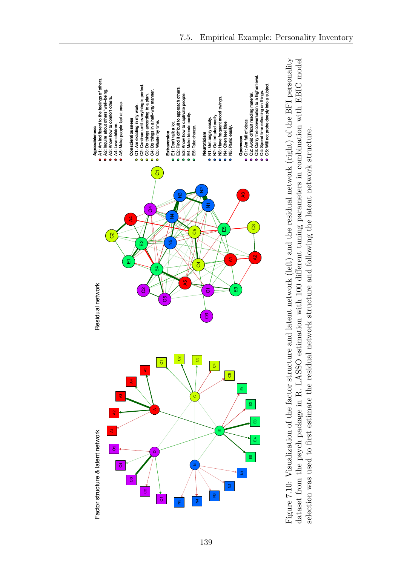

Figure 7.10: Visualization of the factor structure and latent network (left) and the residual network (right) of the BFI personality dataset from the psych package in R. LASSO estimation with 100 different tuning parameters in combination with EBIC model Figure 7.10: Visualization of the factor structure and latent network (left) and the residual network (right) of the BFI personality ↵erent tuning parameters in combination with EBIC model selection was used to first estimate the residual network structure and following the latent network structure. selection was used to first estimate the residual network structure and following the latent network structure. dataset from the psych package in R. LASSO estimation with 100 di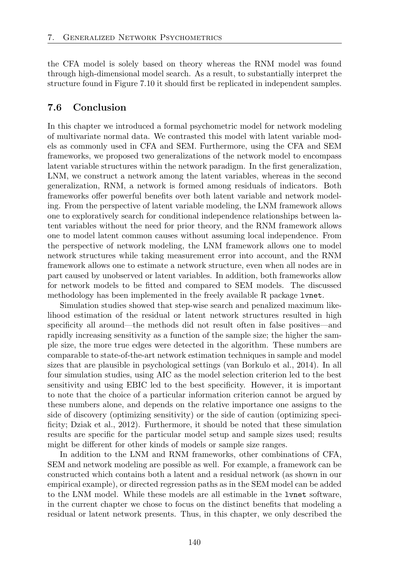the CFA model is solely based on theory whereas the RNM model was found through high-dimensional model search. As a result, to substantially interpret the structure found in Figure 7.10 it should first be replicated in independent samples.

# 7.6 Conclusion

In this chapter we introduced a formal psychometric model for network modeling of multivariate normal data. We contrasted this model with latent variable models as commonly used in CFA and SEM. Furthermore, using the CFA and SEM frameworks, we proposed two generalizations of the network model to encompass latent variable structures within the network paradigm. In the first generalization, LNM, we construct a network among the latent variables, whereas in the second generalization, RNM, a network is formed among residuals of indicators. Both frameworks offer powerful benefits over both latent variable and network modeling. From the perspective of latent variable modeling, the LNM framework allows one to exploratively search for conditional independence relationships between latent variables without the need for prior theory, and the RNM framework allows one to model latent common causes without assuming local independence. From the perspective of network modeling, the LNM framework allows one to model network structures while taking measurement error into account, and the RNM framework allows one to estimate a network structure, even when all nodes are in part caused by unobserved or latent variables. In addition, both frameworks allow for network models to be fitted and compared to SEM models. The discussed methodology has been implemented in the freely available R package lvnet.

Simulation studies showed that step-wise search and penalized maximum likelihood estimation of the residual or latent network structures resulted in high specificity all around—the methods did not result often in false positives—and rapidly increasing sensitivity as a function of the sample size; the higher the sample size, the more true edges were detected in the algorithm. These numbers are comparable to state-of-the-art network estimation techniques in sample and model sizes that are plausible in psychological settings (van Borkulo et al., 2014). In all four simulation studies, using AIC as the model selection criterion led to the best sensitivity and using EBIC led to the best specificity. However, it is important to note that the choice of a particular information criterion cannot be argued by these numbers alone, and depends on the relative importance one assigns to the side of discovery (optimizing sensitivity) or the side of caution (optimizing specificity; Dziak et al., 2012). Furthermore, it should be noted that these simulation results are specific for the particular model setup and sample sizes used; results might be different for other kinds of models or sample size ranges.

In addition to the LNM and RNM frameworks, other combinations of CFA, SEM and network modeling are possible as well. For example, a framework can be constructed which contains both a latent and a residual network (as shown in our empirical example), or directed regression paths as in the SEM model can be added to the LNM model. While these models are all estimable in the lvnet software, in the current chapter we chose to focus on the distinct benefits that modeling a residual or latent network presents. Thus, in this chapter, we only described the